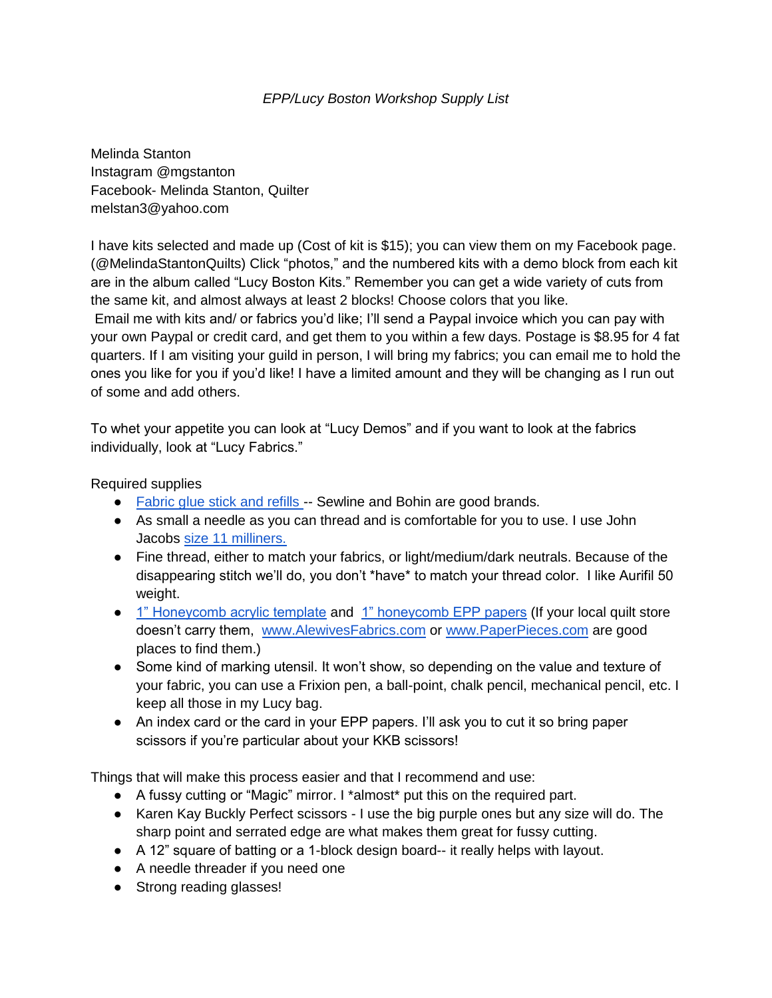## *EPP/Lucy Boston Workshop Supply List*

Melinda Stanton Instagram @mgstanton Facebook- Melinda Stanton, Quilter melstan3@yahoo.com

I have kits selected and made up (Cost of kit is \$15); you can view them on my Facebook page. (@MelindaStantonQuilts) Click "photos," and the numbered kits with a demo block from each kit are in the album called "Lucy Boston Kits." Remember you can get a wide variety of cuts from the same kit, and almost always at least 2 blocks! Choose colors that you like.

Email me with kits and/ or fabrics you'd like; I'll send a Paypal invoice which you can pay with your own Paypal or credit card, and get them to you within a few days. Postage is \$8.95 for 4 fat quarters. If I am visiting your guild in person, I will bring my fabrics; you can email me to hold the ones you like for you if you'd like! I have a limited amount and they will be changing as I run out of some and add others.

To whet your appetite you can look at "Lucy Demos" and if you want to look at the fabrics individually, look at "Lucy Fabrics."

Required supplies

- [Fabric glue stick and refills -](https://www.amazon.com/Sewline-Riolis-Water-Soluble-Fabric-Refill-Blue/dp/B00REIQW08/ref=pd_bxgy_img_2/142-3803151-2415451?_encoding=UTF8&pd_rd_i=B00REIQW08&pd_rd_r=82e597f8-403a-4a75-b410-9196e0c6a09a&pd_rd_w=lCxs7&pd_rd_wg=rd1xA&pf_rd_p=fd08095f-55ff-4a15-9b49-4a1a719225a9&pf_rd_r=RST9A85459T56Q4HCZ3C&psc=1&refRID=RST9A85459T56Q4HCZ3C) Sewline and Bohin are good brands.
- As small a needle as you can thread and is comfortable for you to use. I use John Jacobs [size 11 milliners.](https://www.alewivesfabrics.com/english_paper_piecing?cat_id=161&prod_id=9310)
- Fine thread, either to match your fabrics, or light/medium/dark neutrals. Because of the disappearing stitch we'll do, you don't \*have\* to match your thread color. I like Aurifil 50 weight.
- [1" Honeycomb acrylic template](https://www.alewivesfabrics.com/english_paper_piecing?cat_id=214&prod_id=13277) and [1" honeycomb EPP papers](https://www.alewivesfabrics.com/english_paper_piecing?cat_id=214&prod_id=13279) (If your local quilt store doesn't carry them, [www.AlewivesFabrics.com](http://www.alewivesfabrics.com/) or [www.PaperPieces.com](http://www.paperpieces.com/) are good places to find them.)
- Some kind of marking utensil. It won't show, so depending on the value and texture of your fabric, you can use a Frixion pen, a ball-point, chalk pencil, mechanical pencil, etc. I keep all those in my Lucy bag.
- An index card or the card in your EPP papers. I'll ask you to cut it so bring paper scissors if you're particular about your KKB scissors!

Things that will make this process easier and that I recommend and use:

- A fussy cutting or "Magic" mirror. I \*almost\* put this on the required part.
- Karen Kay Buckly Perfect scissors I use the big purple ones but any size will do. The sharp point and serrated edge are what makes them great for fussy cutting.
- A 12" square of batting or a 1-block design board-- it really helps with layout.
- A needle threader if you need one
- Strong reading glasses!